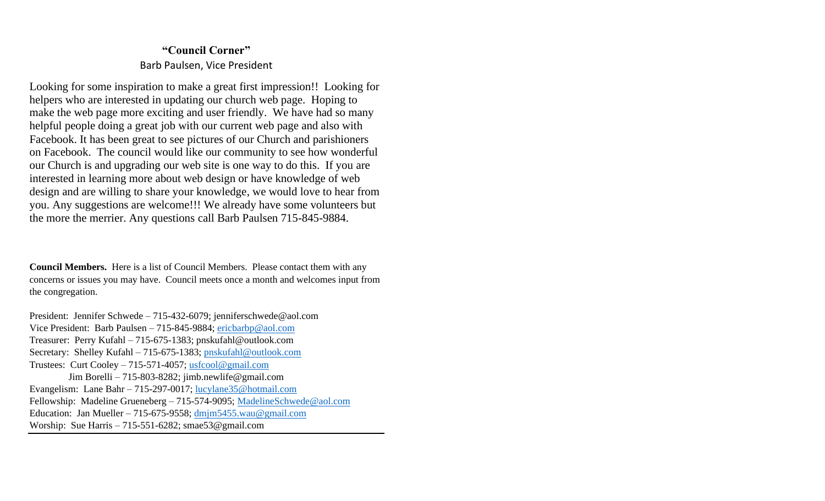# **"Council Corner"** Barb Paulsen, Vice President

Looking for some inspiration to make a great first impression!! Looking for helpers who are interested in updating our church web page. Hoping to make the web page more exciting and user friendly. We have had so many helpful people doing a great job with our current web page and also with Facebook. It has been great to see pictures of our Church and parishioners on Facebook. The council would like our community to see how wonderful our Church is and upgrading our web site is one way to do this. If you are interested in learning more about web design or have knowledge of web design and are willing to share your knowledge, we would love to hear from you. Any suggestions are welcome!!! We already have some volunteers but the more the merrier. Any questions call Barb Paulsen 715-845-9884.

**Council Members.** Here is a list of Council Members. Please contact them with any concerns or issues you may have. Council meets once a month and welcomes input from the congregation.

President: Jennifer Schwede – 715-432-6079; jenniferschwede@aol.com Vice President: Barb Paulsen – 715-845-9884; [ericbarbp@aol.com](mailto:ericbarbp@aol.com) Treasurer: Perry Kufahl – 715-675-1383; pnskufahl@outlook.com Secretary: Shelley Kufahl – 715-675-1383; [pnskufahl@outlook.com](mailto:pnskufahl@outlook.com) Trustees: Curt Cooley – 715-571-4057; [usfcool@gmail.com](mailto:usfcool@gmail.com) Jim Borelli – 715-803-8282; jimb.newlife@gmail.com Evangelism: Lane Bahr – 715-297-0017; [lucylane35@hotmail.com](mailto:lucylane35@hotmail.com) Fellowship: Madeline Grueneberg – 715-574-9095; [MadelineSchwede@aol.com](mailto:MadelineSchwede@aol.com) Education: Jan Mueller – 715-675-9558; [dmjm5455.wau@gmail.com](mailto:dmjm5455.wau@gmail.com) Worship: Sue Harris – 715-551-6282; smae53@gmail.com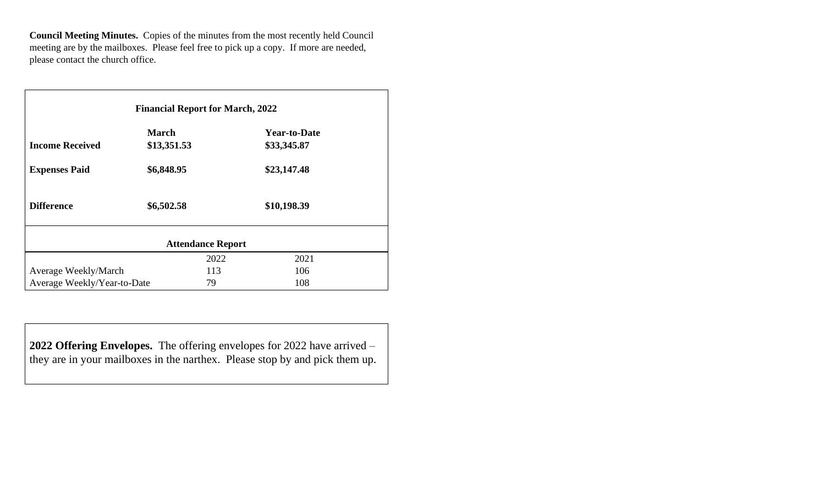**Council Meeting Minutes.** Copies of the minutes from the most recently held Council meeting are by the mailboxes. Please feel free to pick up a copy. If more are needed, please contact the church office.

| <b>Financial Report for March, 2022</b> |                             |      |                                    |  |  |
|-----------------------------------------|-----------------------------|------|------------------------------------|--|--|
| <b>Income Received</b>                  | <b>March</b><br>\$13,351.53 |      | <b>Year-to-Date</b><br>\$33,345.87 |  |  |
| <b>Expenses Paid</b>                    | \$6,848.95                  |      | \$23,147.48                        |  |  |
| <b>Difference</b>                       | \$6,502.58                  |      | \$10,198.39                        |  |  |
| <b>Attendance Report</b>                |                             |      |                                    |  |  |
|                                         |                             | 2022 | 2021                               |  |  |
| Average Weekly/March                    |                             | 113  | 106                                |  |  |
| Average Weekly/Year-to-Date             |                             | 79   | 108                                |  |  |

**2022 Offering Envelopes.** The offering envelopes for 2022 have arrived – they are in your mailboxes in the narthex. Please stop by and pick them up.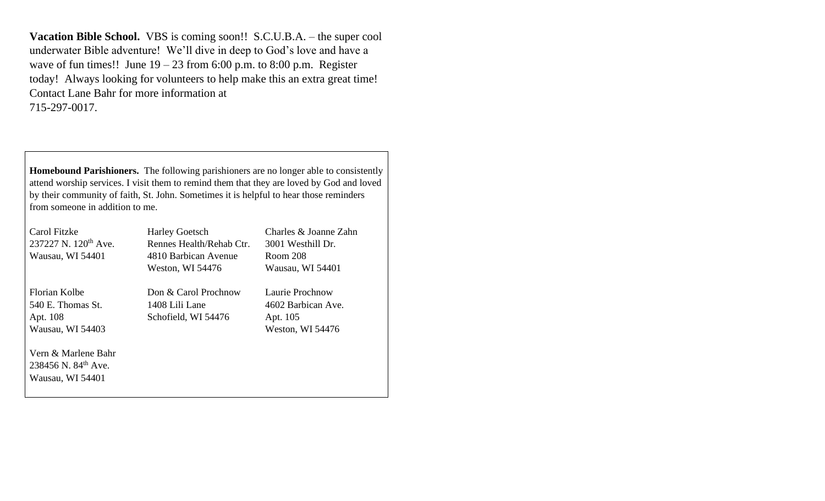**Vacation Bible School.** VBS is coming soon!! S.C.U.B.A. – the super cool underwater Bible adventure! We'll dive in deep to God's love and have a wave of fun times!! June  $19 - 23$  from 6:00 p.m. to 8:00 p.m. Register today! Always looking for volunteers to help make this an extra great time! Contact Lane Bahr for more information at 715-297-0017.

**Homebound Parishioners.** The following parishioners are no longer able to consistently attend worship services. I visit them to remind them that they are loved by God and loved by their community of faith, St. John. Sometimes it is helpful to hear those reminders from someone in addition to me.

| Carol Fitzke                     | <b>Harley Goetsch</b>    | Charles & Joanne Zahn |
|----------------------------------|--------------------------|-----------------------|
| 237227 N. 120 <sup>th</sup> Ave. | Rennes Health/Rehab Ctr. | 3001 Westhill Dr.     |
| Wausau, WI 54401                 | 4810 Barbican Avenue     | Room 208              |
|                                  | Weston, WI 54476         | Wausau, WI 54401      |
| Florian Kolbe                    | Don & Carol Prochnow     | Laurie Prochnow       |
| 540 E. Thomas St.                | 1408 Lili Lane           | 4602 Barbican Ave.    |
| Apt. 108                         | Schofield, WI 54476      | Apt. 105              |
| Wausau, WI 54403                 |                          | Weston, WI 54476      |
| Vern & Marlene Bahr              |                          |                       |
| 238456 N. $84^{th}$ Ave.         |                          |                       |
| Wausau, WI 54401                 |                          |                       |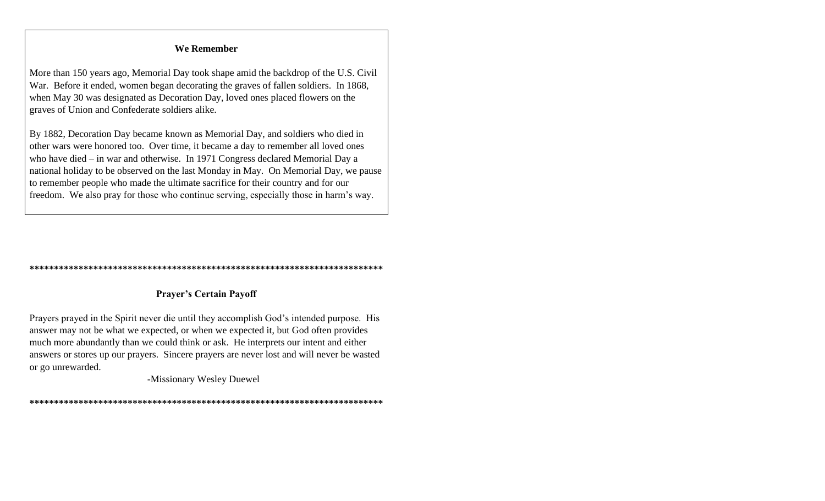# **We Remember**

More than 150 years ago, Memorial Day took shape amid the backdrop of the U.S. Civil War. Before it ended, women began decorating the graves of fallen soldiers. In 1868, when May 30 was designated as Decoration Day, loved ones placed flowers on the graves of Union and Confederate soldiers alike.

By 1882, Decoration Day became known as Memorial Day, and soldiers who died in other wars were honored too. Over time, it became a day to remember all loved ones who have died  $-$  in war and otherwise. In 1971 Congress declared Memorial Day a national holiday to be observed on the last Monday in May. On Memorial Day, we pause to remember people who made the ultimate sacrifice for their country and for our freedom. We also pray for those who continue serving, especially those in harm's way.

### 

# **Prayer's Certain Payoff**

Prayers prayed in the Spirit never die until they accomplish God's intended purpose. His answer may not be what we expected, or when we expected it, but God often provides much more abundantly than we could think or ask. He interprets our intent and either answers or stores up our prayers. Sincere prayers are never lost and will never be wasted or go unrewarded.

-Missionary Wesley Duewel